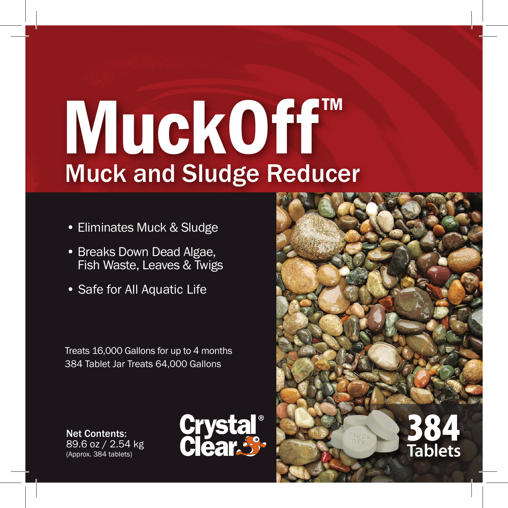# MuckOff™ Muck and Sludge Reducer

- Eliminates Muck & Sludge
- Breaks Down Dead Algae, Fish Waste, Leaves & Twigs
- Safe for All Aquatic Life

Treats 16,000 Gallons for up to 4 months 384 Tablet Jar Treats 64,000 Gallons

Net Contents: 89.6 oz / 2.54 kg (Approx. 384 tablets)